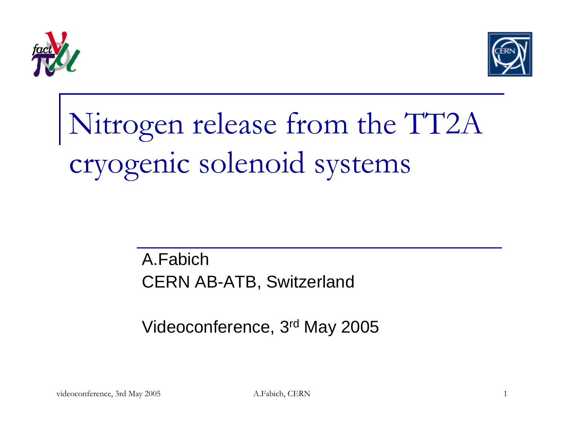



## Nitrogen release from the TT2A cryogenic solenoid systems

A.FabichCERN AB-ATB, Switzerland

Videoconference, 3rd May 2005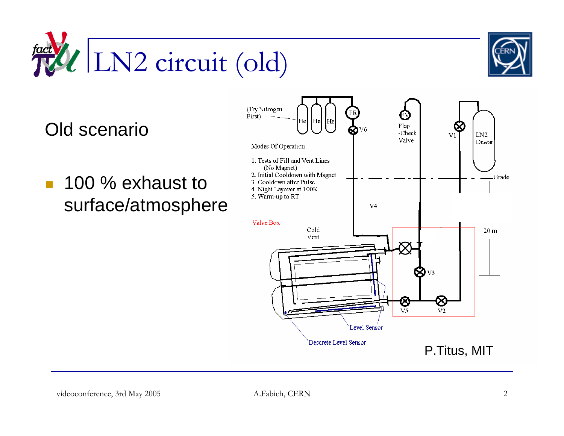

Old scenario

**100 % exhaust to** surface/atmosphere

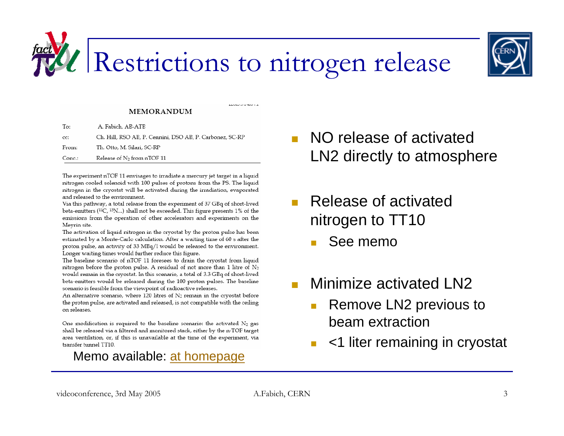

### Restrictions to nitrogen release

**ALCOHOL OF GROUP VIA** 

#### **MEMORANDUM**

| To:    | A. Fabich, AB-ATB                                        |
|--------|----------------------------------------------------------|
| cc:    | Ch. Hill, RSO AB, P. Cennini, DSO AB, P. Carbonez, SC-RP |
| From:  | Th. Otto, M. Silari, SC-RP                               |
| Conc.: | Release of N <sub>2</sub> from nTOF 11                   |

The experiment nTOF 11 envisages to irradiate a mercury jet target in a liquid nitrogen cooled solenoid with 100 pulses of protons from the PS. The liquid nitrogen in the cryostat will be activated during the irradiation, evaporated and released to the environment.

Via this pathway, a total release from the experiment of 37 GBq of short-lived beta-emitters ( $^{11}C$ ,  $^{13}N$ ...) shall not be exceeded. This figure presents 1% of the emissions from the operation of other accelerators and experiments on the Meyrin site.

The activation of liquid nitrogen in the cryostat by the proton pulse has been estimated by a Monte-Carlo calculation. After a waiting time of 60 s after the proton pulse, an activity of 33 MBq/l would be released to the environment. Longer waiting times would further reduce this figure.

The baseline scenario of nTOF 11 foresees to drain the cryostat from liquid nitrogen before the proton pulse. A residual of not more than 1 litre of  $N_2$ would remain in the cryostat. In this scenario, a total of 3.3 GBq of short-lived beta-emitters would be released during the 100 proton pulses. The baseline scenario is feasible from the viewpoint of radioactive releases.

An alternative scenario, where  $120$  litres of  $N_2$  remain in the cryostat before the proton pulse, are activated and released, is not compatible with the ceiling on releases.

One modification is required to the baseline scenario: the activated  $N_2$  gas shall be released via a filtered and monitored stack, either by the n-TOF target area ventilation, or, if this is unavailable at the time of the experiment, via transfer tunnel TT10.

### Memo available: at homepage

- П NO release of activated LN2 directly to atmosphere
- П Release of activated nitrogen to TT10
	- See memo
- П Minimize activated LN2
	- $\mathcal{L}_{\mathcal{A}}$  Remove LN2 previous to beam extraction
	- <1 liter remaining in cryostat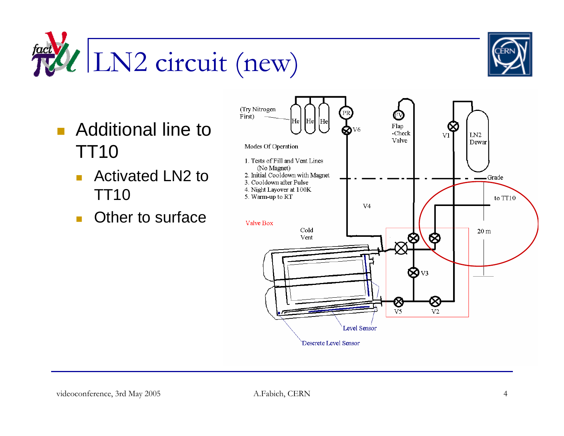$\frac{dV}{dV}$  LN2 circuit (new)



- **Additional line to** TT10
	- Activated LN2 to TT10
	- $\mathcal{L}^{\mathcal{L}}$ Other to surface

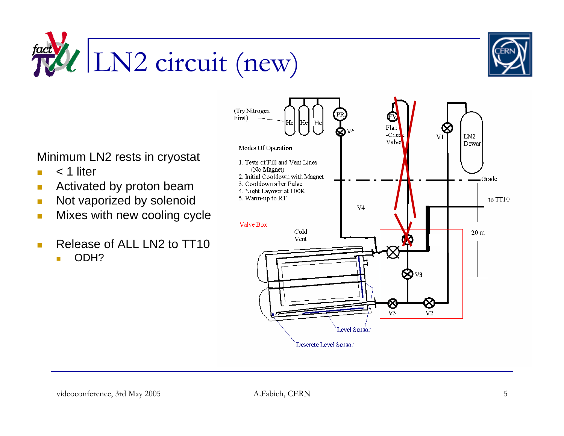



Minimum LN2 rests in cryostat

- $\overline{\phantom{a}}$ < 1 liter
- $\overline{\phantom{a}}$ Activated by proton beam
- $\blacksquare$ Not vaporized by solenoid
- $\mathbb{R}^3$ Mixes with new cooling cycle
- $\Box$  Release of ALL LN2 to TT10
	- п ODH?

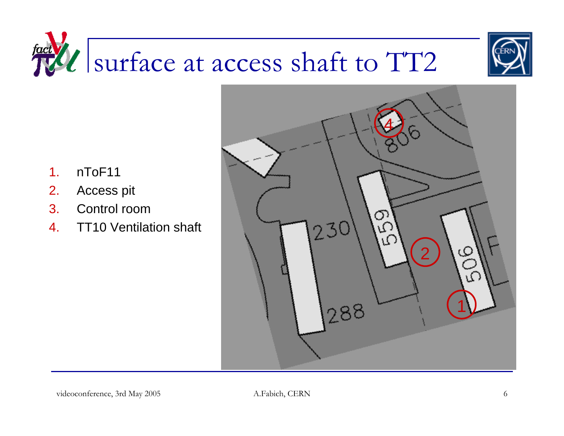### fact VI surface at access shaft to TT2



4 $\overline{O}$  $230$ ΙЮ 21288

- 1.nToF11
- 2.Access pit
- 3. Control room
- 4.TT10 Ventilation shaft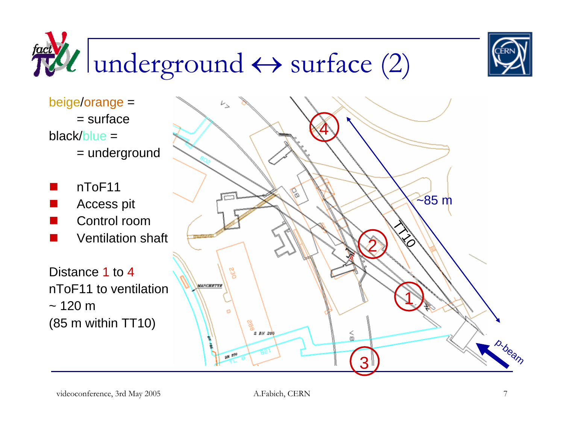

# $\frac{fact}{dV}$ l underground  $\leftrightarrow$  surface (2)

beige/orange <sup>=</sup>  $=$  surface black/blue = = underground

 $\overline{\phantom{a}}$  nToF11  $\overline{\phantom{a}}$ Access pit

- П Control room
- $\overline{\phantom{a}}$ Ventilation shaft

Distance 1 to 4 nToF11 to ventilation $~120~m$ (85 m within TT10)

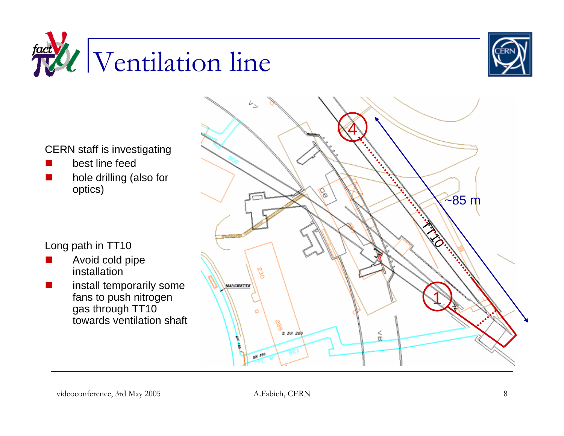



CERN staff is investigating

- ×, best line feed
- Π hole drilling (also for optics)

Long path in TT10

- Avoid cold pipe installation
- Π install temporarily some fans to push nitrogen gas through TT10 towards ventilation shaft